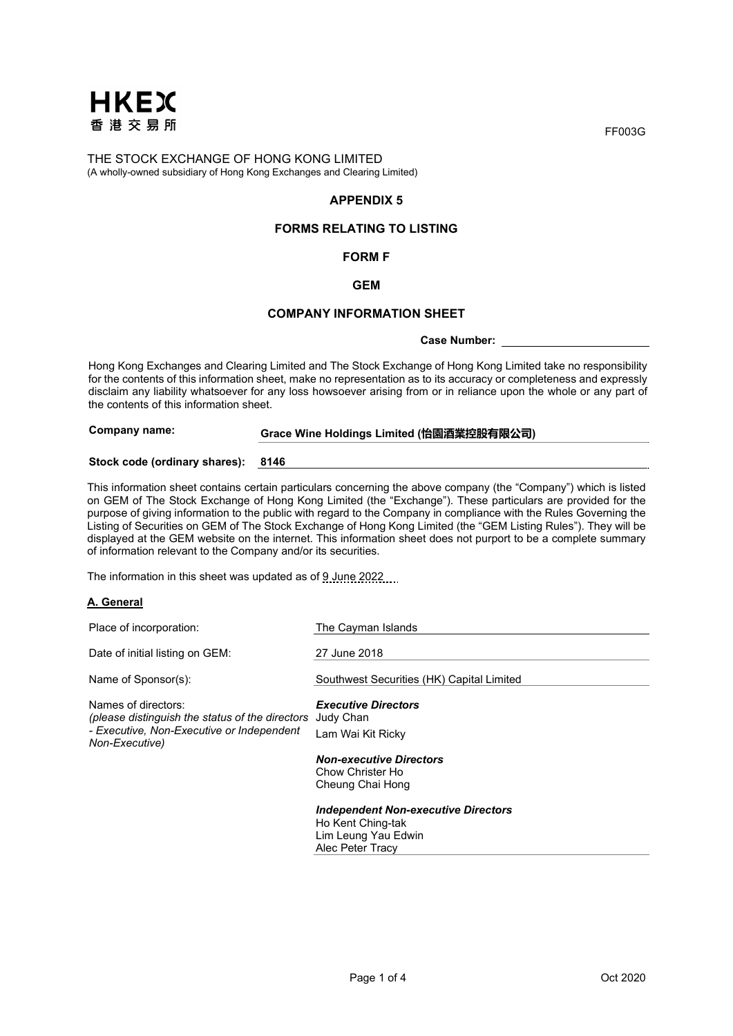

# **APPENDIX 5**

# **FORMS RELATING TO LISTING**

#### **FORM F**

#### **GEM**

#### **COMPANY INFORMATION SHEET**

#### **Case Number:**

Hong Kong Exchanges and Clearing Limited and The Stock Exchange of Hong Kong Limited take no responsibility for the contents of this information sheet, make no representation as to its accuracy or completeness and expressly disclaim any liability whatsoever for any loss howsoever arising from or in reliance upon the whole or any part of the contents of this information sheet.

# **Company name: Grace Wine Holdings Limited (怡園酒業控股有限公司)**

#### **Stock code (ordinary shares): 8146**

This information sheet contains certain particulars concerning the above company (the "Company") which is listed on GEM of The Stock Exchange of Hong Kong Limited (the "Exchange"). These particulars are provided for the purpose of giving information to the public with regard to the Company in compliance with the Rules Governing the Listing of Securities on GEM of The Stock Exchange of Hong Kong Limited (the "GEM Listing Rules"). They will be displayed at the GEM website on the internet. This information sheet does not purport to be a complete summary of information relevant to the Company and/or its securities.

The information in this sheet was updated as of 9 June 2022

#### **A. General**

| Place of incorporation:                                                                                                                         | The Cayman Islands                                                                     |
|-------------------------------------------------------------------------------------------------------------------------------------------------|----------------------------------------------------------------------------------------|
| Date of initial listing on GEM:                                                                                                                 | 27 June 2018                                                                           |
| Name of Sponsor(s):                                                                                                                             | Southwest Securities (HK) Capital Limited                                              |
| Names of directors:<br>(please distinguish the status of the directors Judy Chan<br>- Executive, Non-Executive or Independent<br>Non-Executive) | <b>Executive Directors</b><br>Lam Wai Kit Ricky                                        |
|                                                                                                                                                 | <b>Non-executive Directors</b><br>Chow Christer Ho<br>Cheung Chai Hong                 |
|                                                                                                                                                 | <b>Independent Non-executive Directors</b><br>Ho Kent Ching-tak<br>Lim Loung Vou Edwin |

Lim Leung Yau Edwin Alec Peter Tracy

FF003G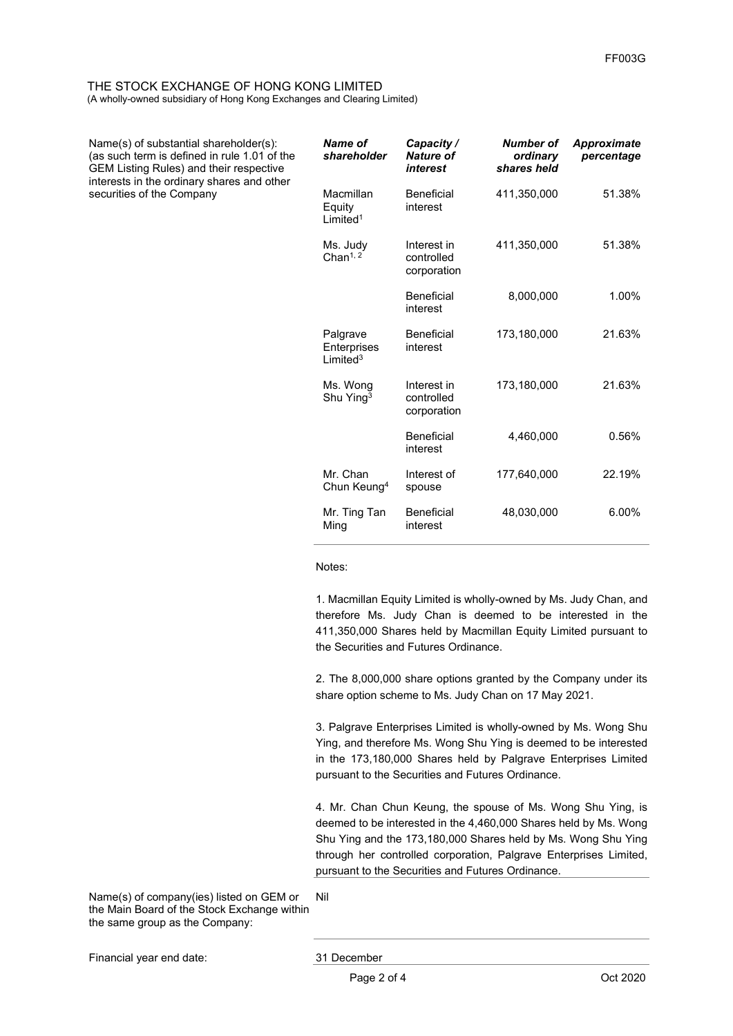Name(s) of substantial shareholder(s): (as such term is defined in rule 1.01 of the GEM Listing Rules) and their respective interests in the ordinary shares and other securities of the Company

| Name of<br>shareholder                         | Capacity/<br>Nature of<br>interest       | Number of<br>ordinary<br>shares held | <b>Approximate</b><br>percentage |
|------------------------------------------------|------------------------------------------|--------------------------------------|----------------------------------|
| Macmillan<br>Equity<br>$I$ imited <sup>1</sup> | <b>Beneficial</b><br>interest            | 411,350,000                          | 51.38%                           |
| Ms. Judy<br>Chan $1, 2$                        | Interest in<br>controlled<br>corporation | 411,350,000                          | 51.38%                           |
|                                                | Beneficial<br>interest                   | 8,000,000                            | 1.00%                            |
| Palgrave<br>Enterprises<br>I imited $3$        | <b>Beneficial</b><br>interest            | 173.180.000                          | 21.63%                           |
| Ms. Wong<br>Shu Ying <sup>3</sup>              | Interest in<br>controlled<br>corporation | 173,180,000                          | 21.63%                           |
|                                                | <b>Beneficial</b><br>interest            | 4.460.000                            | 0.56%                            |
| Mr. Chan<br>Chun Keung <sup>4</sup>            | Interest of<br>spouse                    | 177,640,000                          | 22.19%                           |
| Mr. Ting Tan<br>Ming                           | Beneficial<br>interest                   | 48,030,000                           | $6.00\%$                         |

Notes:

1. Macmillan Equity Limited is wholly-owned by Ms. Judy Chan, and therefore Ms. Judy Chan is deemed to be interested in the 411,350,000 Shares held by Macmillan Equity Limited pursuant to the Securities and Futures Ordinance.

2. The 8,000,000 share options granted by the Company under its share option scheme to Ms. Judy Chan on 17 May 2021.

3. Palgrave Enterprises Limited is wholly-owned by Ms. Wong Shu Ying, and therefore Ms. Wong Shu Ying is deemed to be interested in the 173,180,000 Shares held by Palgrave Enterprises Limited pursuant to the Securities and Futures Ordinance.

4. Mr. Chan Chun Keung, the spouse of Ms. Wong Shu Ying, is deemed to be interested in the 4,460,000 Shares held by Ms. Wong Shu Ying and the 173,180,000 Shares held by Ms. Wong Shu Ying through her controlled corporation, Palgrave Enterprises Limited, pursuant to the Securities and Futures Ordinance.

Name(s) of company(ies) listed on GEM or the Main Board of the Stock Exchange within the same group as the Company: Nil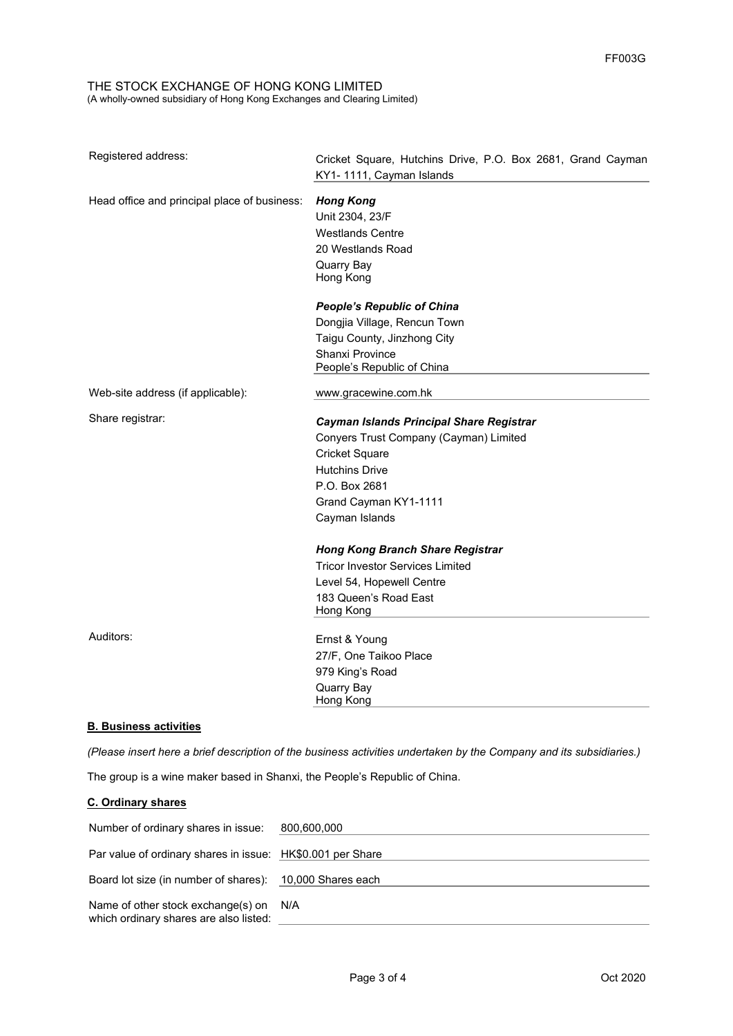| Registered address:                          | Cricket Square, Hutchins Drive, P.O. Box 2681, Grand Cayman<br>KY1-1111, Cayman Islands |
|----------------------------------------------|-----------------------------------------------------------------------------------------|
| Head office and principal place of business: | <b>Hong Kong</b><br>Unit 2304, 23/F<br><b>Westlands Centre</b><br>20 Westlands Road     |
|                                              | Quarry Bay<br>Hong Kong                                                                 |
|                                              | <b>People's Republic of China</b>                                                       |
|                                              | Dongjia Village, Rencun Town                                                            |
|                                              | Taigu County, Jinzhong City                                                             |
|                                              | <b>Shanxi Province</b><br>People's Republic of China                                    |
| Web-site address (if applicable):            | www.gracewine.com.hk                                                                    |
| Share registrar:                             | Cayman Islands Principal Share Registrar                                                |
|                                              | Conyers Trust Company (Cayman) Limited                                                  |
|                                              | <b>Cricket Square</b>                                                                   |
|                                              | <b>Hutchins Drive</b>                                                                   |
|                                              | P.O. Box 2681                                                                           |
|                                              | Grand Cayman KY1-1111                                                                   |
|                                              | Cayman Islands                                                                          |
|                                              | <b>Hong Kong Branch Share Registrar</b>                                                 |
|                                              | <b>Tricor Investor Services Limited</b>                                                 |
|                                              | Level 54, Hopewell Centre                                                               |
|                                              | 183 Queen's Road East<br>Hong Kong                                                      |
| Auditors:                                    | Ernst & Young                                                                           |
|                                              | 27/F, One Taikoo Place                                                                  |
|                                              | 979 King's Road                                                                         |
|                                              | Quarry Bay<br>Hong Kong                                                                 |

### **B. Business activities**

*(Please insert here a brief description of the business activities undertaken by the Company and its subsidiaries.)* 

The group is a wine maker based in Shanxi, the People's Republic of China.

# **C. Ordinary shares**

| Number of ordinary shares in issue: 800,600,000                                  |  |
|----------------------------------------------------------------------------------|--|
| Par value of ordinary shares in issue: HK\$0.001 per Share                       |  |
| Board lot size (in number of shares): 10,000 Shares each                         |  |
| Name of other stock exchange(s) on N/A<br>which ordinary shares are also listed: |  |